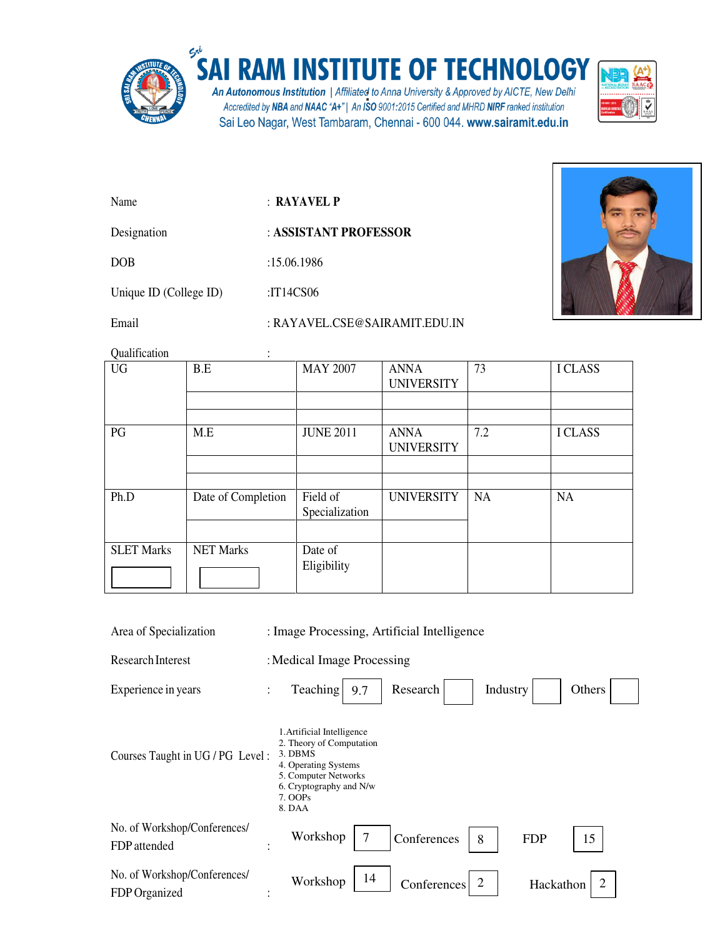

## SAI RAM INSTITUTE OF TECHNOLOGY

An Autonomous Institution | Affiliated to Anna University & Approved by AICTE, New Delhi Accredited by NBA and NAAC "A+" | An ISO 9001:2015 Certified and MHRD NIRF ranked institution Sai Leo Nagar, West Tambaram, Chennai - 600 044. www.sairamit.edu.in



Name : **RAYAVEL P** 

Designation : **ASSISTANT PROFESSOR** 

DOB :15.06.1986

Unique ID (College ID) :IT14CS06

Email : RAYAVEL.CSE@SAIRAMIT.EDU.IN

Qualification :

| <b>Quannication</b> | $\bullet$          |                            |                                  |     |                |
|---------------------|--------------------|----------------------------|----------------------------------|-----|----------------|
| <b>UG</b>           | B.E                | <b>MAY 2007</b>            | <b>ANNA</b><br><b>UNIVERSITY</b> | 73  | <b>I CLASS</b> |
|                     |                    |                            |                                  |     |                |
| PG                  | M.E                | <b>JUNE 2011</b>           | <b>ANNA</b><br><b>UNIVERSITY</b> | 7.2 | <b>I CLASS</b> |
|                     |                    |                            |                                  |     |                |
|                     |                    |                            |                                  |     |                |
| Ph.D                | Date of Completion | Field of<br>Specialization | <b>UNIVERSITY</b>                | NA  | <b>NA</b>      |
|                     |                    |                            |                                  |     |                |
| <b>SLET Marks</b>   | <b>NET Marks</b>   | Date of                    |                                  |     |                |
|                     |                    | Eligibility                |                                  |     |                |

9.7 Area of Specialization : Image Processing, Artificial Intelligence Research Interest : Medical Image Processing Experience in years : Teaching 1.Artificial Intelligence Research | Industry | Others

Courses Taught in UG / PG Level : 3. DBMS 2. Theory of Computation

- 4. Operating Systems 5. Computer Networks
	- 6. Cryptography and N/w
		- 7. OOPs

|                                               | 8. DAA             |                               |            |    |  |
|-----------------------------------------------|--------------------|-------------------------------|------------|----|--|
| No. of Workshop/Conferences/<br>FDP attended  | Workshop $\vert$ 7 | $\vert$ Conferences $\vert$ 8 | <b>FDP</b> | 15 |  |
| No. of Workshop/Conferences/<br>FDP Organized | Workshop   $14$    | Conferences $\vert$ 2         | Hackathon  |    |  |